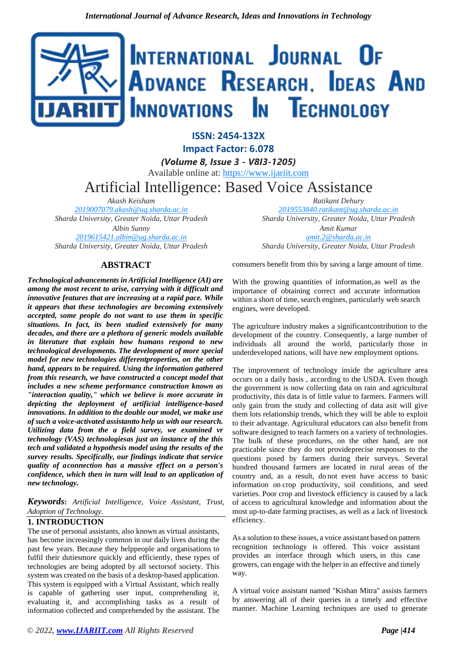# INTERNATIONAL JOURNAL OF ADVANCE RESEARCH, IDEAS AND Innovations In Technology

**ISSN: 2454-132X Impact Factor: 6.078** *(Volume 8, Issue 3 - V8I3-1205)* Available online at: [https://www.ijariit.com](https://www.ijariit.com/?utm_source=pdf&utm_medium=edition&utm_campaign=OmAkSols&utm_term=V8I3-1205) Artificial Intelligence: Based Voice Assistance

*Akash Keisham [2019007079.akash@ug.sharda.ac.in](mailto:2019007079.akash@ug.sharda.ac.in) Sharda University, Greater Noida, Uttar Pradesh Albin Sunny*

*[2019615421.albin@ug.sharda.ac.in](mailto:2019615421.albin@ug.sharda.ac.in) Sharda University, Greater Noida, Uttar Pradesh*

# **ABSTRACT**

*Technological advancements in Artificial Intelligence (AI) are among the most recent to arise, carrying with it difficult and innovative features that are increasing at a rapid pace. While it appears that these technologies are becoming extensively accepted, some people do not want to use them in specific situations. In fact, its been studied extensively for many decades, and there are a plethora of generic models available in literature that explain how humans respond to new technological developments. The development of more special model for new technologies differentproperties, on the other hand, appears to be required. Using the information gathered from this research, we have constructed a concept model that includes a new scheme performance construction known as "interaction quality," which we believe is more accurate in depicting the deployment of artificial intelligence-based innovations. In addition to the double our model, we make use of such a voice-activated assistantto help us with our research. Utilizing data from the a field survey, we examined vr technology (VAS) technologiesas just an instance of the this tech and validated a hypothesis model using the results of the survey results. Specifically, our findings indicate that service quality of aconnection has a massive effect on a person's confidence, which then in turn will lead to an application of new technology.*

*Keywords***:** *Artificial Intelligence, Voice Assistant, Trust, Adoption of Technology.*

## **1. INTRODUCTION**

The use of personal assistants, also known as virtual assistants, has become increasingly common in our daily lives during the past few years. Because they helppeople and organisations to fulfil their dutiesmore quickly and efficiently, these types of technologies are being adopted by all sectorsof society. This system was created on the basis of a desktop-based application. This system is equipped with a Virtual Assistant, which really is capable of gathering user input, comprehending it, evaluating it, and accomplishing tasks as a result of information collected and comprehended by the assistant. The

*Ratikant Dehury [2019553840.ratikant@ug.sharda.ac.in](mailto:2019553840.ratikant@ug.sharda.ac.in) Sharda University, Greater Noida, Uttar Pradesh*

*Amit Kumar [amit.2@sharda.ac.in](mailto:amit.2@sharda.ac.in) Sharda University, Greater Noida, Uttar Pradesh*

consumers benefit from this by saving a large amount of time.

With the growing quantities of information, as well as the importance of obtaining correct and accurate information within a short of time, search engines, particularly web search engines, were developed.

The agriculture industry makes a significantcontribution to the development of the country. Consequently, a large number of individuals all around the world, particularly those in underdeveloped nations, will have new employment options.

The improvement of technology inside the agriculture area occurs on a daily basis , according to the USDA. Even though the government is now collecting data on rain and agricultural productivity, this data is of little value to farmers. Farmers will only gain from the study and collecting of data asit will give them lots relationship trends, which they will be able to exploit to their advantage. Agricultural educators can also benefit from software designed to teach farmers on a variety of technologies. The bulk of these procedures, on the other hand, are not practicable since they do not provideprecise responses to the questions posed by farmers during their surveys. Several hundred thousand farmers are located in rural areas of the country and, as a result, do not even have access to basic information on crop productivity, soil conditions, and seed varieties. Poor crop and livestock efficiency is caused by a lack of access to agricultural knowledge and information about the most up-to-date farming practises, as well as a lack of livestock efficiency.

As a solution to these issues, a voice assistant based on pattern recognition technology is offered. This voice assistant provides an interface through which users, in this case growers, can engage with the helper in an effective and timely way.

A virtual voice assistant named "Kishan Mitra" assists farmers by answering all of their queries in a timely and effective manner. Machine Learning techniques are used to generate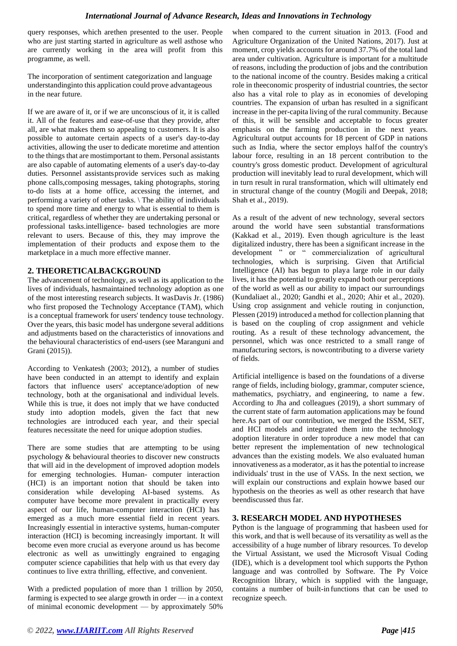query responses, which arethen presented to the user. People who are just starting started in agriculture as well asthose who are currently working in the area will profit from this programme, as well.

The incorporation of sentiment categorization and language understandinginto this application could prove advantageous in the near future.

If we are aware of it, or if we are unconscious of it, it is called it. All of the features and ease-of-use that they provide, after all, are what makes them so appealing to customers. It is also possible to automate certain aspects of a user's day-to-day activities, allowing the user to dedicate moretime and attention to the things that are mostimportant to them. Personal assistants are also capable of automating elements of a user's day-to-day duties. Personnel assistantsprovide services such as making phone calls,composing messages, taking photographs, storing to-do lists at a home office, accessing the internet, and performing a variety of other tasks. \ The ability of individuals to spend more time and energy to what is essential to them is critical, regardless of whether they are undertaking personal or professional tasks.intelligence- based technologies are more relevant to users. Because of this, they may improve the implementation of their products and expose them to the marketplace in a much more effective manner.

# **2. THEORETICALBACKGROUND**

The advancement of technology, as well as its application to the lives of individuals, hasmaintained technology adoption as one of the most interesting research subjects. It wasDavis Jr. (1986) who first proposed the Technology Acceptance (TAM), which is a conceptual framework for users' tendency touse technology. Over the years, this basic model has undergone several additions and adjustments based on the characteristics of innovations and the behavioural characteristics of end-users (see Maranguni and Grani (2015)).

According to Venkatesh (2003; 2012), a number of studies have been conducted in an attempt to identify and explain factors that influence users' acceptance/adoption of new technology, both at the organisational and individual levels. While this is true, it does not imply that we have conducted study into adoption models, given the fact that new technologies are introduced each year, and their special features necessitate the need for unique adoption studies.

There are some studies that are attempting to be using psychology & behavioural theories to discover new constructs that will aid in the development of improved adoption models for emerging technologies. Human- computer interaction (HCI) is an important notion that should be taken into consideration while developing AI-based systems. As computer have become more prevalent in practically every aspect of our life, human-computer interaction (HCI) has emerged as a much more essential field in recent years. Increasingly essential in interactive systems, human-computer interaction (HCI) is becoming increasingly important. It will become even more crucial as everyone around us has become electronic as well as unwittingly engrained to engaging computer science capabilities that help with us that every day continues to live extra thrilling, effective, and convenient.

With a predicted population of more than 1 trillion by 2050, farming is expected to see alarge growth in order — in a context of minimal economic development — by approximately 50% when compared to the current situation in 2013. (Food and Agriculture Organization of the United Nations, 2017). Just at moment, crop yields accounts for around 37.7% of the total land area under cultivation. Agriculture is important for a multitude of reasons, including the production of jobs and the contribution to the national income of the country. Besides making a critical role in theeconomic prosperity of industrial countries, the sector also has a vital role to play as in economies of developing countries. The expansion of urban has resulted in a significant increase in the per-capita living of the rural community. Because of this, it will be sensible and acceptable to focus greater emphasis on the farming production in the next years. Agricultural output accounts for 18 percent of GDP in nations such as India, where the sector employs halfof the country's labour force, resulting in an 18 percent contribution to the country's gross domestic product. Development of agricultural production will inevitably lead to rural development, which will in turn result in rural transformation, which will ultimately end in structural change of the country (Mogili and Deepak, 2018; Shah et al., 2019).

As a result of the advent of new technology, several sectors around the world have seen substantial transformations (Kakkad et al., 2019). Even though agriculture is the least digitalized industry, there has been a significant increase in the development " or " commercialization of agricultural technologies, which is surprising. Given that Artificial Intelligence (AI) has begun to playa large role in our daily lives, it has the potential to greatly expand both our perceptions of the world as well as our ability to impact our surroundings (Kundaliaet al., 2020; Gandhi et al., 2020; Ahir et al., 2020). Using crop assignment and vehicle routing in conjunction, Plessen (2019) introduced a method for collection planning that is based on the coupling of crop assignment and vehicle routing. As a result of these technology advancement, the personnel, which was once restricted to a small range of manufacturing sectors, is nowcontributing to a diverse variety of fields.

Artificial intelligence is based on the foundations of a diverse range of fields, including biology, grammar, computer science, mathematics, psychiatry, and engineering, to name a few. According to Jha and colleagues (2019), a short summary of the current state of farm automation applications may be found here.As part of our contribution, we merged the ISSM, SET, and HCI models and integrated them into the technology adoption literature in order toproduce a new model that can better represent the implementation of new technological advances than the existing models. We also evaluated human innovativeness as a moderator, as it has the potential to increase individuals' trust in the use of VASs. In the next section, we will explain our constructions and explain howwe based our hypothesis on the theories as well as other research that have beendiscussed thus far.

## **3. RESEARCH MODEL AND HYPOTHESES**

Python is the language of programming that hasbeen used for this work, and that is well because of its versatility as well as the accessibility of a huge number of library resources. To develop the Virtual Assistant, we used the Microsoft Visual Coding (IDE), which is a development tool which supports the Python language and was controlled by Software. The Py Voice Recognition library, which is supplied with the language, contains a number of built-in functions that can be used to recognize speech.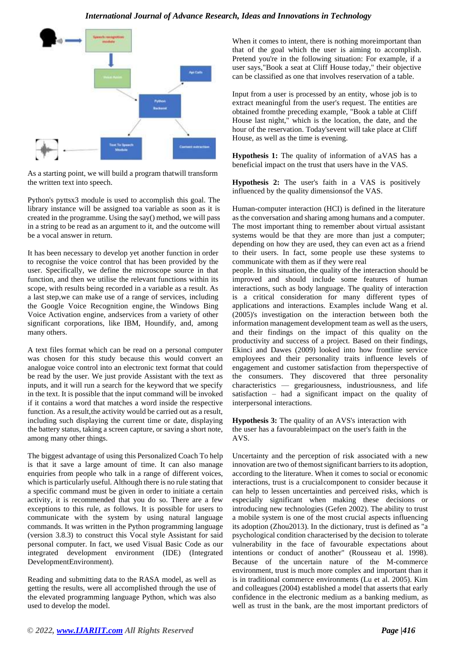

As a starting point, we will build a program thatwill transform the written text into speech.

Python's pyttsx3 module is used to accomplish this goal. The library instance will be assigned toa variable as soon as it is created in the programme. Using the say() method, we will pass in a string to be read as an argument to it, and the outcome will be a vocal answer in return.

It has been necessary to develop yet another function in order to recognise the voice control that has been provided by the user. Specifically, we define the microscope source in that function, and then we utilise the relevant functions within its scope, with results being recorded in a variable as a result. As a last step,we can make use of a range of services, including the Google Voice Recognition engine, the Windows Bing Voice Activation engine, andservices from a variety of other significant corporations, like IBM, Houndify, and, among many others.

A text files format which can be read on a personal computer was chosen for this study because this would convert an analogue voice control into an electronic text format that could be read by the user. We just provide Assistant with the text as inputs, and it will run a search for the keyword that we specify in the text. It is possible that the input command will be invoked if it contains a word that matches a word inside the respective function. As a result, the activity would be carried out as a result, including such displaying the current time or date, displaying the battery status, taking a screen capture, or saving a short note, among many other things.

The biggest advantage of using this Personalized Coach To help is that it save a large amount of time. It can also manage enquiries from people who talk in a range of different voices, which is particularly useful. Although there is no rule stating that a specific command must be given in order to initiate a certain activity, it is recommended that you do so. There are a few exceptions to this rule, as follows. It is possible for users to communicate with the system by using natural language commands. It was written in the Python programming language (version 3.8.3) to construct this Vocal style Assistant for said personal computer. In fact, we used Visual Basic Code as our integrated development environment (IDE) (Integrated DevelopmentEnvironment).

Reading and submitting data to the RASA model, as well as getting the results, were all accomplished through the use of the elevated programming language Python, which was also used to develop the model.

When it comes to intent, there is nothing more important than that of the goal which the user is aiming to accomplish. Pretend you're in the following situation: For example, if a user says,"Book a seat at Cliff House today," their objective can be classified as one that involves reservation of a table.

Input from a user is processed by an entity, whose job is to extract meaningful from the user's request. The entities are obtained fromthe preceding example, "Book a table at Cliff House last night," which is the location, the date, and the hour of the reservation. Today'sevent will take place at Cliff House, as well as the time is evening.

**Hypothesis 1:** The quality of information of aVAS has a beneficial impact on the trust that users have in the VAS.

**Hypothesis 2:** The user's faith in a VAS is positively influenced by the quality dimensionsof the VAS.

Human-computer interaction (HCI) is defined in the literature as the conversation and sharing among humans and a computer. The most important thing to remember about virtual assistant systems would be that they are more than just a computer; depending on how they are used, they can even act as a friend to their users. In fact, some people use these systems to communicate with them as if they were real

people. In this situation, the quality of the interaction should be improved and should include some features of human interactions, such as body language. The quality of interaction is a critical consideration for many different types of applications and interactions. Examples include Wang et al. (2005)'s investigation on the interaction between both the information management development team as well as the users, and their findings on the impact of this quality on the productivity and success of a project. Based on their findings, Ekinci and Dawes (2009) looked into how frontline service employees and their personality traits influence levels of engagement and customer satisfaction from theperspective of the consumers. They discovered that three personality characteristics — gregariousness, industriousness, and life satisfaction – had a significant impact on the quality of interpersonal interactions.

**Hypothesis 3:** The quality of an AVS's interaction with the user has a favourableimpact on the user's faith in the AVS.

Uncertainty and the perception of risk associated with a new innovation are two of themost significant barriers to its adoption, according to the literature. When it comes to social or economic interactions, trust is a crucialcomponent to consider because it can help to lessen uncertainties and perceived risks, which is especially significant when making these decisions or introducing new technologies (Gefen 2002). The ability to trust a mobile system is one of the most crucial aspects influencing its adoption (Zhou2013). In the dictionary, trust is defined as "a psychological condition characterised by the decision to tolerate vulnerability in the face of favourable expectations about intentions or conduct of another" (Rousseau et al. 1998). Because of the uncertain nature of the M-commerce environment, trust is much more complex and important than it is in traditional commerce environments (Lu et al. 2005). Kim and colleagues (2004) established a model that asserts that early confidence in the electronic medium as a banking medium, as well as trust in the bank, are the most important predictors of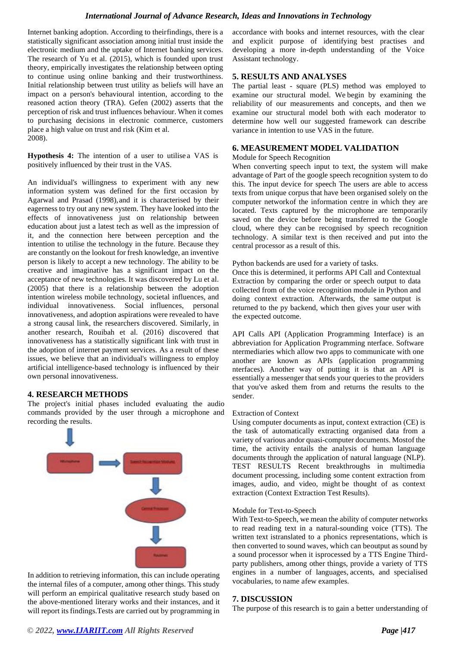Internet banking adoption. According to theirfindings, there is a statistically significant association among initial trust inside the electronic medium and the uptake of Internet banking services. The research of Yu et al. (2015), which is founded upon trust theory, empirically investigates the relationship between opting to continue using online banking and their trustworthiness. Initial relationship between trust utility as beliefs will have an impact on a person's behavioural intention, according to the reasoned action theory (TRA). Gefen (2002) asserts that the perception of risk and trust influences behaviour. When it comes to purchasing decisions in electronic commerce, customers place a high value on trust and risk (Kim et al. 2008).

**Hypothesis 4:** The intention of a user to utilise a VAS is positively influenced by their trust in the VAS.

An individual's willingness to experiment with any new information system was defined for the first occasion by Agarwal and Prasad (1998),and it is characterised by their eagerness to try out any new system. They have looked into the effects of innovativeness just on relationship between education about just a latest tech as well as the impression of it, and the connection here between perception and the intention to utilise the technology in the future. Because they are constantly on the lookout for fresh knowledge, an inventive person is likely to accept a new technology. The ability to be creative and imaginative has a significant impact on the acceptance of new technologies. It was discovered by Lu et al. (2005) that there is a relationship between the adoption intention wireless mobile technology, societal influences, and individual innovativeness. Social influences, personal innovativeness, and adoption aspirations were revealed to have a strong causal link, the researchers discovered. Similarly, in another research, Rouibah et al. (2016) discovered that innovativeness has a statistically significant link with trust in the adoption of internet payment services. As a result of these issues, we believe that an individual's willingness to employ artificial intelligence-based technology is influenced by their own personal innovativeness.

#### **4. RESEARCH METHODS**

The project's initial phases included evaluating the audio commands provided by the user through a microphone and recording the results.



In addition to retrieving information, this can include operating the internal files of a computer, among other things. This study will perform an empirical qualitative research study based on the above-mentioned literary works and their instances, and it will report its findings.Tests are carried out by programming in accordance with books and internet resources, with the clear and explicit purpose of identifying best practises and developing a more in-depth understanding of the Voice Assistant technology.

#### **5. RESULTS AND ANALYSES**

The partial least - square (PLS) method was employed to examine our structural model. We begin by examining the reliability of our measurements and concepts, and then we examine our structural model both with each moderator to determine how well our suggested framework can describe variance in intention to use VAS in the future.

#### **6. MEASUREMENT MODEL VALIDATION**

#### Module for Speech Recognition

When converting speech input to text, the system will make advantage of Part of the google speech recognition system to do this. The input device for speech The users are able to access texts from unique corpus that have been organised solely on the computer networkof the information centre in which they are located. Texts captured by the microphone are temporarily saved on the device before being transferred to the Google cloud, where they can be recognised by speech recognition technology. A similar text is then received and put into the central processor as a result of this.

#### Python backends are used for a variety of tasks.

Once this is determined, it performs API Call and Contextual Extraction by comparing the order or speech output to data collected from of the voice recognition module in Python and doing context extraction. Afterwards, the same output is returned to the py backend, which then gives your user with the expected outcome.

API Calls API (Application Programming Interface) is an abbreviation for Application Programming nterface. Software ntermediaries which allow two apps to communicate with one another are known as APIs (application programming nterfaces). Another way of putting it is that an API is essentially a messenger that sends your queries to the providers that you've asked them from and returns the results to the sender.

#### Extraction of Context

Using computer documents as input, context extraction (CE) is the task of automatically extracting organised data from a variety of various andor quasi-computer documents. Mostof the time, the activity entails the analysis of human language documents through the application of natural language (NLP). TEST RESULTS Recent breakthroughs in multimedia document processing, including some content extraction from images, audio, and video, might be thought of as context extraction (Context Extraction Test Results).

#### Module for Text-to-Speech

With Text-to-Speech, we mean the ability of computer networks to read reading text in a natural-sounding voice (TTS). The written text istranslated to a phonics representations, which is then converted to sound waves, which can beoutput as sound by a sound processor when it isprocessed by a TTS Engine Thirdparty publishers, among other things, provide a variety of TTS engines in a number of languages, accents, and specialised vocabularies, to name afew examples.

## **7. DISCUSSION**

The purpose of this research is to gain a better understanding of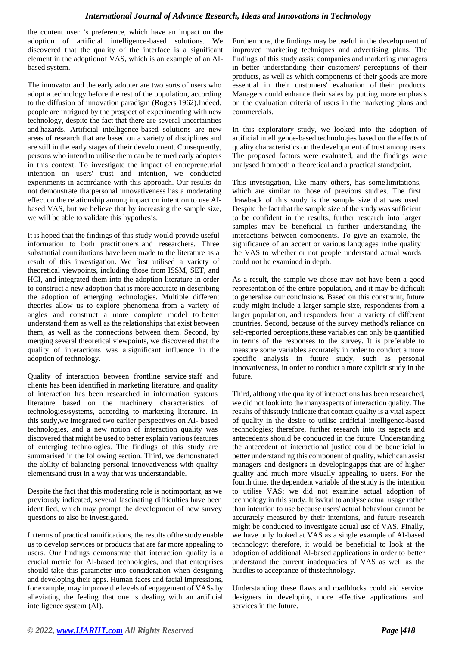the content user 's preference, which have an impact on the adoption of artificial intelligence-based solutions. We discovered that the quality of the interface is a significant element in the adoptionof VAS, which is an example of an AIbased system.

The innovator and the early adopter are two sorts of users who adopt a technology before the rest of the population, according to the diffusion of innovation paradigm (Rogers 1962).Indeed, people are intrigued by the prospect of experimenting with new technology, despite the fact that there are several uncertainties and hazards. Artificial intelligence-based solutions are new areas of research that are based on a variety of disciplines and are still in the early stages of their development. Consequently, persons who intend to utilise them can be termed early adopters in this context. To investigate the impact of entrepreneurial intention on users' trust and intention, we conducted experiments in accordance with this approach. Our results do not demonstrate thatpersonal innovativeness has a moderating effect on the relationship among impact on intention to use AIbased VAS, but we believe that by increasing the sample size, we will be able to validate this hypothesis.

It is hoped that the findings of this study would provide useful information to both practitioners and researchers. Three substantial contributions have been made to the literature as a result of this investigation. We first utilised a variety of theoretical viewpoints, including those from ISSM, SET, and HCI, and integrated them into the adoption literature in order to construct a new adoption that is more accurate in describing the adoption of emerging technologies. Multiple different theories allow us to explore phenomena from a variety of angles and construct a more complete model to better understand them as well as the relationships that exist between them, as well as the connections between them. Second, by merging several theoretical viewpoints, we discovered that the quality of interactions was a significant influence in the adoption of technology.

Quality of interaction between frontline service staff and clients has been identified in marketing literature, and quality of interaction has been researched in information systems literature based on the machinery characteristics of technologies/systems, according to marketing literature. In this study,we integrated two earlier perspectives on AI- based technologies, and a new notion of interaction quality was discovered that might be used to better explain various features of emerging technologies. The findings of this study are summarised in the following section. Third, we demonstrated the ability of balancing personal innovativeness with quality elementsand trust in a way that was understandable.

Despite the fact that this moderating role is notimportant, as we previously indicated, several fascinating difficulties have been identified, which may prompt the development of new survey questions to also be investigated.

In terms of practical ramifications, the results ofthe study enable us to develop services or products that are far more appealing to users. Our findings demonstrate that interaction quality is a crucial metric for AI-based technologies, and that enterprises should take this parameter into consideration when designing and developing their apps. Human faces and facial impressions, for example, may improve the levels of engagement of VASs by alleviating the feeling that one is dealing with an artificial intelligence system (AI).

Furthermore, the findings may be useful in the development of improved marketing techniques and advertising plans. The findings of this study assist companies and marketing managers in better understanding their customers' perceptions of their products, as well as which components of their goods are more essential in their customers' evaluation of their products. Managers could enhance their sales by putting more emphasis on the evaluation criteria of users in the marketing plans and commercials.

In this exploratory study, we looked into the adoption of artificial intelligence-based technologies based on the effects of quality characteristics on the development of trust among users. The proposed factors were evaluated, and the findings were analysed fromboth a theoretical and a practical standpoint.

This investigation, like many others, has some limitations, which are similar to those of previous studies. The first drawback of this study is the sample size that was used. Despite the fact that the sample size of the study was sufficient to be confident in the results, further research into larger samples may be beneficial in further understanding the interactions between components. To give an example, the significance of an accent or various languages inthe quality the VAS to whether or not people understand actual words could not be examined in depth.

As a result, the sample we chose may not have been a good representation of the entire population, and it may be difficult to generalise our conclusions. Based on this constraint, future study might include a larger sample size, respondents from a larger population, and responders from a variety of different countries. Second, because of the survey method's reliance on self-reported perceptions,these variables can only be quantified in terms of the responses to the survey. It is preferable to measure some variables accurately in order to conduct a more specific analysis in future study, such as personal innovativeness, in order to conduct a more explicit study in the future.

Third, although the quality of interactions has been researched, we did not look into the manyaspects of interaction quality. The results of thisstudy indicate that contact quality is a vital aspect of quality in the desire to utilise artificial intelligence-based technologies; therefore, further research into its aspects and antecedents should be conducted in the future. Understanding the antecedent of interactional justice could be beneficial in better understanding this component of quality, whichcan assist managers and designers in developingapps that are of higher quality and much more visually appealing to users. For the fourth time, the dependent variable of the study is the intention to utilise VAS; we did not examine actual adoption of technology in this study. It isvital to analyse actual usage rather than intention to use because users' actual behaviour cannot be accurately measured by their intentions, and future research might be conducted to investigate actual use of VAS. Finally, we have only looked at VAS as a single example of AI-based technology; therefore, it would be beneficial to look at the adoption of additional AI-based applications in order to better understand the current inadequacies of VAS as well as the hurdles to acceptance of thistechnology.

Understanding these flaws and roadblocks could aid service designers in developing more effective applications and services in the future.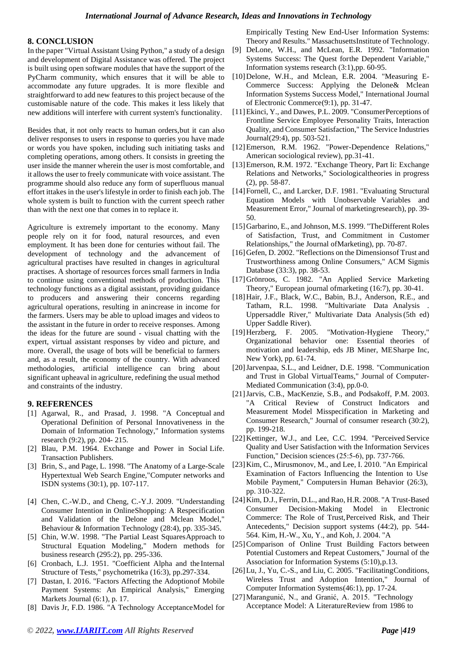## **8. CONCLUSION**

In the paper "Virtual Assistant Using Python," a study of a design and development of Digital Assistance was offered. The project is built using open software modules that have the support of the PyCharm community, which ensures that it will be able to accommodate any future upgrades. It is more flexible and straightforward to add new features to this project because of the customisable nature of the code. This makes it less likely that new additions will interfere with current system's functionality.

Besides that, it not only reacts to human orders,but it can also deliver responses to users in response to queries you have made or words you have spoken, including such initiating tasks and completing operations, among others. It consists in greeting the user inside the manner wherein the user is most comfortable, and it allows the user to freely communicate with voice assistant. The programme should also reduce any form of superfluous manual effort ittakes in the user's lifestyle in order to finish each job. The whole system is built to function with the current speech rather than with the next one that comes in to replace it.

Agriculture is extremely important to the economy. Many people rely on it for food, natural resources, and even employment. It has been done for centuries without fail. The development of technology and the advancement of agricultural practises have resulted in changes in agricultural practises. A shortage of resources forces small farmers in India to continue using conventional methods of production. This technology functions as a digital assistant, providing guidance to producers and answering their concerns regarding agricultural operations, resulting in anincrease in income for the farmers. Users may be able to upload images and videos to the assistant in the future in order to receive responses. Among the ideas for the future are sound - visual chatting with the expert, virtual assistant responses by video and picture, and more. Overall, the usage of bots will be beneficial to farmers and, as a result, the economy of the country. With advanced methodologies, artificial intelligence can bring about significant upheaval in agriculture, redefining the usual method and constraints of the industry.

## **9. REFERENCES**

- [1] Agarwal, R., and Prasad, J. 1998. "A Conceptual and Operational Definition of Personal Innovativeness in the Domain of Information Technology," Information systems research (9:2), pp. 204- 215.
- [2] Blau, P.M. 1964. Exchange and Power in Social Life. Transaction Publishers.
- [3] Brin, S., and Page, L. 1998. "The Anatomy of a Large-Scale Hypertextual Web Search Engine,"Computer networks and ISDN systems (30:1), pp. 107-117.
- [4] Chen, C.-W.D., and Cheng, C.-Y.J. 2009. "Understanding Consumer Intention in OnlineShopping: A Respecification and Validation of the Delone and Mclean Model," Behaviour & Information Technology (28:4), pp. 335-345.
- [5] Chin, W.W. 1998. "The Partial Least SquaresApproach to Structural Equation Modeling," Modern methods for business research (295:2), pp. 295-336.
- [6] Cronbach, L.J. 1951. "Coefficient Alpha and the Internal Structure of Tests," psychometrika (16:3), pp.297-334.
- [7] Dastan, I. 2016. "Factors Affecting the Adoptionof Mobile Payment Systems: An Empirical Analysis," Emerging Markets Journal (6:1), p. 17.
- [8] Davis Jr, F.D. 1986. "A Technology AcceptanceModel for

Empirically Testing New End-User Information Systems: Theory and Results." MassachusettsInstitute of Technology.

- [9] DeLone, W.H., and McLean, E.R. 1992. "Information Systems Success: The Quest forthe Dependent Variable," Information systems research (3:1),pp. 60-95.
- [10] Delone, W.H., and Mclean, E.R. 2004. "Measuring E-Commerce Success: Applying the Delone& Mclean Information Systems Success Model," International Journal of Electronic Commerce(9:1), pp. 31-47.
- [11] Ekinci, Y., and Dawes, P.L. 2009. "ConsumerPerceptions of Frontline Service Employee Personality Traits, Interaction Quality, and Consumer Satisfaction," The Service Industries Journal(29:4), pp. 503-521.
- [12]Emerson, R.M. 1962. "Power-Dependence Relations," American sociological review), pp.31-41.
- [13]Emerson, R.M. 1972. "Exchange Theory, Part Ii: Exchange Relations and Networks," Sociologicaltheories in progress (2), pp. 58-87.
- [14] Fornell, C., and Larcker, D.F. 1981. "Evaluating Structural Equation Models with Unobservable Variables and Measurement Error," Journal of marketingresearch), pp. 39- 50.
- [15] Garbarino, E., and Johnson, M.S. 1999. "The Different Roles of Satisfaction, Trust, and Commitment in Customer Relationships," the Journal ofMarketing), pp. 70-87.
- [16] Gefen, D. 2002. "Reflections on the Dimensions of Trust and Trustworthiness among Online Consumers," ACM Sigmis Database (33:3), pp. 38-53.
- [17]Grönroos, C. 1982. "An Applied Service Marketing Theory," European journal ofmarketing (16:7), pp. 30-41.
- [18]Hair, J.F., Black, W.C., Babin, B.J., Anderson, R.E., and Tatham, R.L. 1998. "Multivariate Data Analysis . Uppersaddle River," Multivariate Data Analysis(5th ed) Upper Saddle River).
- [19]Herzberg, F. 2005. "Motivation-Hygiene Theory," Organizational behavior one: Essential theories of motivation and leadership, eds JB Miner, MESharpe Inc, New York), pp. 61-74.
- [20]Jarvenpaa, S.L., and Leidner, D.E. 1998. "Communication and Trust in Global VirtualTeams," Journal of Computer‐ Mediated Communication (3:4), pp.0-0.
- [21]Jarvis, C.B., MacKenzie, S.B., and Podsakoff, P.M. 2003. "A Critical Review of Construct Indicators and Measurement Model Misspecification in Marketing and Consumer Research," Journal of consumer research (30:2), pp. 199-218.
- [22] Kettinger, W.J., and Lee, C.C. 1994. "Perceived Service Quality and User Satisfaction with the Information Services Function," Decision sciences (25:5‐6), pp. 737-766.
- [23] Kim, C., Mirusmonov, M., and Lee, I. 2010. "An Empirical Examination of Factors Influencing the Intention to Use Mobile Payment," Computersin Human Behavior (26:3), pp. 310-322.
- [24]Kim, D.J., Ferrin, D.L., and Rao, H.R. 2008. "A Trust-Based Consumer Decision-Making Model in Electronic Commerce: The Role of Trust,Perceived Risk, and Their Antecedents," Decision support systems (44:2), pp. 544- 564. Kim, H.-W., Xu, Y., and Koh, J. 2004. "A
- [25] Comparison of Online Trust Building Factors between Potential Customers and Repeat Customers," Journal of the Association for Information Systems (5:10),p.13.
- [26]Lu, J., Yu, C.-S., and Liu, C. 2005. "FacilitatingConditions, Wireless Trust and Adoption Intention," Journal of Computer Information Systems(46:1), pp. 17-24.
- [27]Marangunić, N., and Granić, A. 2015. "Technology Acceptance Model: A LiteratureReview from 1986 to